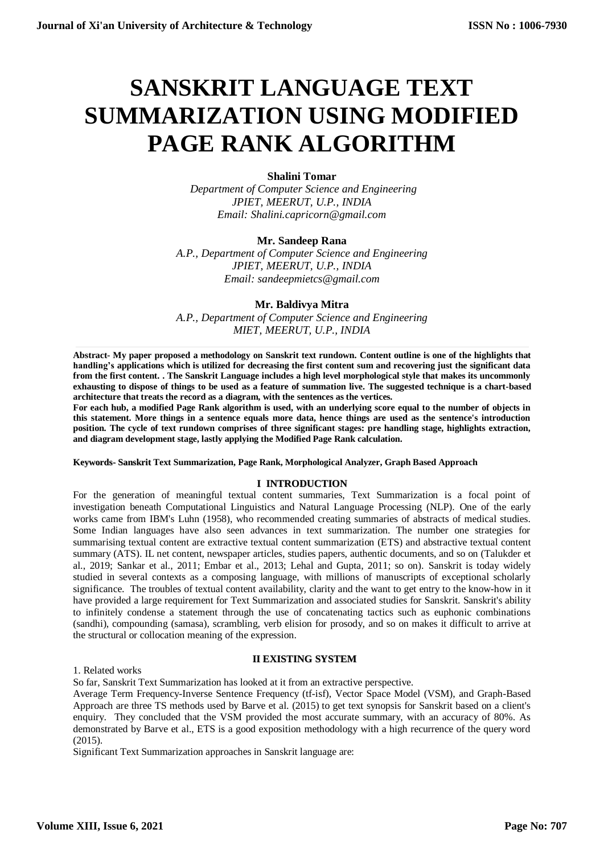# **SANSKRIT LANGUAGE TEXT SUMMARIZATION USING MODIFIED PAGE RANK ALGORITHM**

# **Shalini Tomar**

*Department of Computer Science and Engineering JPIET, MEERUT, U.P., INDIA Email: Shalini.capricorn@gmail.com*

#### **Mr. Sandeep Rana**

*A.P., Department of Computer Science and Engineering JPIET, MEERUT, U.P., INDIA Email: sandeepmietcs@gmail.com*

#### **Mr. Baldivya Mitra**

*A.P., Department of Computer Science and Engineering MIET, MEERUT, U.P., INDIA*

**Abstract- My paper proposed a methodology on Sanskrit text rundown. Content outline is one of the highlights that handling's applications which is utilized for decreasing the first content sum and recovering just the significant data from the first content. . The Sanskrit Language includes a high level morphological style that makes its uncommonly exhausting to dispose of things to be used as a feature of summation live. The suggested technique is a chart-based architecture that treats the record as a diagram, with the sentences as the vertices.** 

**For each hub, a modified Page Rank algorithm is used, with an underlying score equal to the number of objects in this statement. More things in a sentence equals more data, hence things are used as the sentence's introduction position. The cycle of text rundown comprises of three significant stages: pre handling stage, highlights extraction, and diagram development stage, lastly applying the Modified Page Rank calculation.**

**Keywords- Sanskrit Text Summarization, Page Rank, Morphological Analyzer, Graph Based Approach**

#### **I INTRODUCTION**

For the generation of meaningful textual content summaries, Text Summarization is a focal point of investigation beneath Computational Linguistics and Natural Language Processing (NLP). One of the early works came from IBM's Luhn (1958), who recommended creating summaries of abstracts of medical studies. Some Indian languages have also seen advances in text summarization. The number one strategies for summarising textual content are extractive textual content summarization (ETS) and abstractive textual content summary (ATS). IL net content, newspaper articles, studies papers, authentic documents, and so on (Talukder et al., 2019; Sankar et al., 2011; Embar et al., 2013; Lehal and Gupta, 2011; so on). Sanskrit is today widely studied in several contexts as a composing language, with millions of manuscripts of exceptional scholarly significance. The troubles of textual content availability, clarity and the want to get entry to the know-how in it have provided a large requirement for Text Summarization and associated studies for Sanskrit. Sanskrit's ability to infinitely condense a statement through the use of concatenating tactics such as euphonic combinations (sandhi), compounding (samasa), scrambling, verb elision for prosody, and so on makes it difficult to arrive at the structural or collocation meaning of the expression.

# **II EXISTING SYSTEM**

1. Related works

So far, Sanskrit Text Summarization has looked at it from an extractive perspective.

Average Term Frequency-Inverse Sentence Frequency (tf-isf), Vector Space Model (VSM), and Graph-Based Approach are three TS methods used by Barve et al. (2015) to get text synopsis for Sanskrit based on a client's enquiry. They concluded that the VSM provided the most accurate summary, with an accuracy of 80%. As demonstrated by Barve et al., ETS is a good exposition methodology with a high recurrence of the query word (2015).

Significant Text Summarization approaches in Sanskrit language are: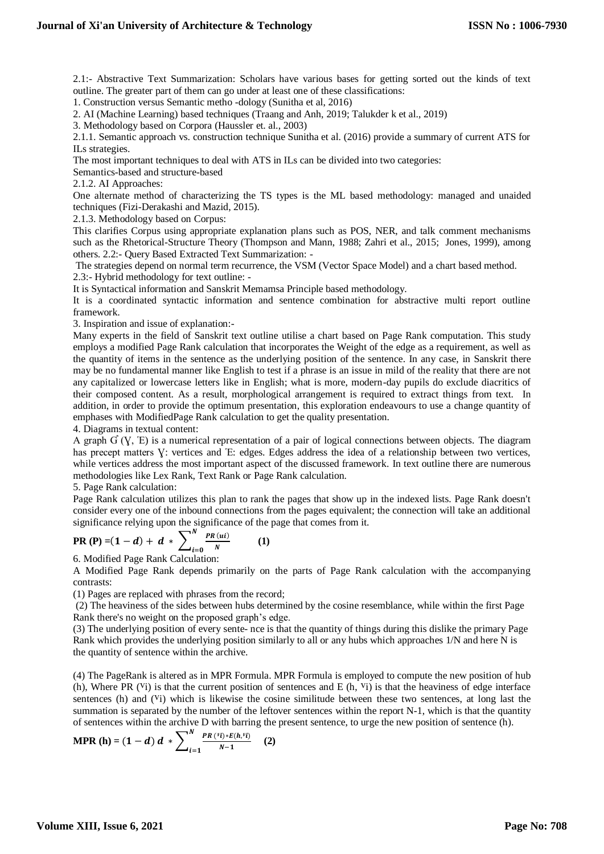2.1:- Abstractive Text Summarization: Scholars have various bases for getting sorted out the kinds of text outline. The greater part of them can go under at least one of these classifications:

1. Construction versus Semantic metho -dology (Sunitha et al, 2016)

2. AI (Machine Learning) based techniques (Traang and Anh, 2019; Talukder k et al., 2019)

3. Methodology based on Corpora (Haussler et. al., 2003)

2.1.1. Semantic approach vs. construction technique Sunitha et al. (2016) provide a summary of current ATS for ILs strategies.

The most important techniques to deal with ATS in ILs can be divided into two categories:

Semantics-based and structure-based

2.1.2. AI Approaches:

One alternate method of characterizing the TS types is the ML based methodology: managed and unaided techniques (Fizi-Derakashi and Mazid, 2015).

2.1.3. Methodology based on Corpus:

This clarifies Corpus using appropriate explanation plans such as POS, NER, and talk comment mechanisms such as the Rhetorical-Structure Theory (Thompson and Mann, 1988; Zahri et al., 2015; Jones, 1999), among others. 2.2:- Query Based Extracted Text Summarization: -

The strategies depend on normal term recurrence, the VSM (Vector Space Model) and a chart based method. 2.3:- Hybrid methodology for text outline: -

It is Syntactical information and Sanskrit Memamsa Principle based methodology.

It is a coordinated syntactic information and sentence combination for abstractive multi report outline framework.

3. Inspiration and issue of explanation:-

Many experts in the field of Sanskrit text outline utilise a chart based on Page Rank computation. This study employs a modified Page Rank calculation that incorporates the Weight of the edge as a requirement, as well as the quantity of items in the sentence as the underlying position of the sentence. In any case, in Sanskrit there may be no fundamental manner like English to test if a phrase is an issue in mild of the reality that there are not any capitalized or lowercase letters like in English; what is more, modern-day pupils do exclude diacritics of their composed content. As a result, morphological arrangement is required to extract things from text. In addition, in order to provide the optimum presentation, this exploration endeavours to use a change quantity of emphases with ModifiedPage Rank calculation to get the quality presentation.

4. Diagrams in textual content:

A graph  $G(Y, E)$  is a numerical representation of a pair of logical connections between objects. The diagram has precept matters V: vertices and E: edges. Edges address the idea of a relationship between two vertices, while vertices address the most important aspect of the discussed framework. In text outline there are numerous methodologies like Lex Rank, Text Rank or Page Rank calculation.

5. Page Rank calculation:

Page Rank calculation utilizes this plan to rank the pages that show up in the indexed lists. Page Rank doesn't consider every one of the inbound connections from the pages equivalent; the connection will take an additional significance relying upon the significance of the page that comes from it.

PR (P) = (1 - d) + d \* 
$$
\sum_{i=0}^{N} \frac{PR (ui)}{N}
$$
 (1)

6. Modified Page Rank Calculation:

A Modified Page Rank depends primarily on the parts of Page Rank calculation with the accompanying contrasts:

(1) Pages are replaced with phrases from the record;

(2) The heaviness of the sides between hubs determined by the cosine resemblance, while within the first Page Rank there's no weight on the proposed graph's edge.

(3) The underlying position of every sente- nce is that the quantity of things during this dislike the primary Page Rank which provides the underlying position similarly to all or any hubs which approaches 1/N and here N is the quantity of sentence within the archive.

(4) The PageRank is altered as in MPR Formula. MPR Formula is employed to compute the new position of hub (h), Where PR ( $Vi$ ) is that the current position of sentences and E (h,  $Vi$ ) is that the heaviness of edge interface sentences (h) and  $(V<sub>i</sub>)$  which is likewise the cosine similitude between these two sentences, at long last the summation is separated by the number of the leftover sentences within the report N-1, which is that the quantity of sentences within the archive D with barring the present sentence, to urge the new position of sentence (h).

$$
\text{MPR} \text{ (h)} = (1-d) \, d \, * \sum_{i=1}^{N} \frac{PR \, (i \cdot i) * E(h, i \cdot i)}{N-1} \quad \text{ (2)}
$$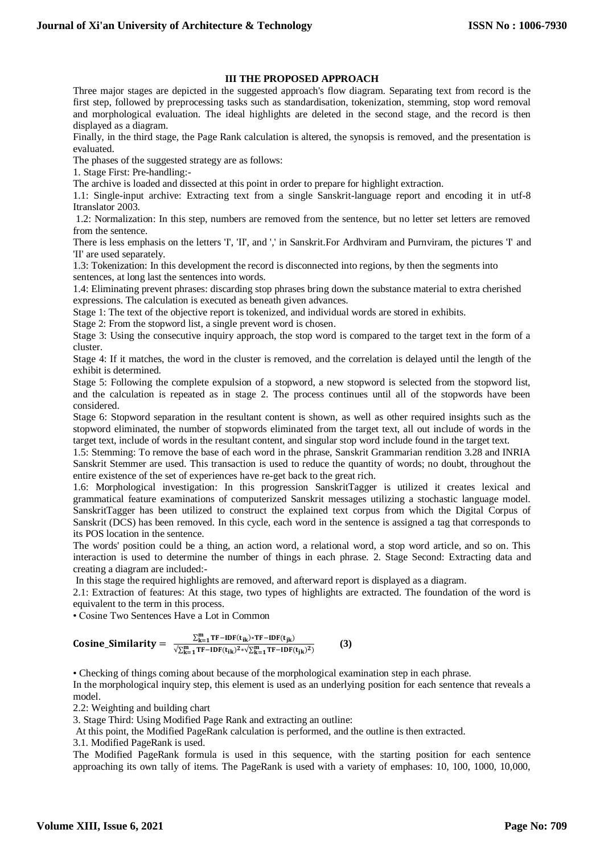### **III THE PROPOSED APPROACH**

Three major stages are depicted in the suggested approach's flow diagram. Separating text from record is the first step, followed by preprocessing tasks such as standardisation, tokenization, stemming, stop word removal and morphological evaluation. The ideal highlights are deleted in the second stage, and the record is then displayed as a diagram.

Finally, in the third stage, the Page Rank calculation is altered, the synopsis is removed, and the presentation is evaluated.

The phases of the suggested strategy are as follows:

1. Stage First: Pre-handling:-

The archive is loaded and dissected at this point in order to prepare for highlight extraction.

1.1: Single-input archive: Extracting text from a single Sanskrit-language report and encoding it in utf-8 Itranslator 2003.

1.2: Normalization: In this step, numbers are removed from the sentence, but no letter set letters are removed from the sentence.

There is less emphasis on the letters 'I', 'II', and ',' in Sanskrit.For Ardhviram and Purnviram, the pictures 'I' and 'II' are used separately.

1.3: Tokenization: In this development the record is disconnected into regions, by then the segments into sentences, at long last the sentences into words.

1.4: Eliminating prevent phrases: discarding stop phrases bring down the substance material to extra cherished expressions. The calculation is executed as beneath given advances.

Stage 1: The text of the objective report is tokenized, and individual words are stored in exhibits.

Stage 2: From the stopword list, a single prevent word is chosen.

Stage 3: Using the consecutive inquiry approach, the stop word is compared to the target text in the form of a cluster.

Stage 4: If it matches, the word in the cluster is removed, and the correlation is delayed until the length of the exhibit is determined.

Stage 5: Following the complete expulsion of a stopword, a new stopword is selected from the stopword list, and the calculation is repeated as in stage 2. The process continues until all of the stopwords have been considered.

Stage 6: Stopword separation in the resultant content is shown, as well as other required insights such as the stopword eliminated, the number of stopwords eliminated from the target text, all out include of words in the target text, include of words in the resultant content, and singular stop word include found in the target text.

1.5: Stemming: To remove the base of each word in the phrase, Sanskrit Grammarian rendition 3.28 and INRIA Sanskrit Stemmer are used. This transaction is used to reduce the quantity of words; no doubt, throughout the entire existence of the set of experiences have re-get back to the great rich.

1.6: Morphological investigation: In this progression SanskritTagger is utilized it creates lexical and grammatical feature examinations of computerized Sanskrit messages utilizing a stochastic language model. SanskritTagger has been utilized to construct the explained text corpus from which the Digital Corpus of Sanskrit (DCS) has been removed. In this cycle, each word in the sentence is assigned a tag that corresponds to its POS location in the sentence.

The words' position could be a thing, an action word, a relational word, a stop word article, and so on. This interaction is used to determine the number of things in each phrase. 2. Stage Second: Extracting data and creating a diagram are included:-

In this stage the required highlights are removed, and afterward report is displayed as a diagram.

2.1: Extraction of features: At this stage, two types of highlights are extracted. The foundation of the word is equivalent to the term in this process.

• Cosine Two Sentences Have a Lot in Common

$$
\text{Cosine\_Similarity} = \frac{\sum_{k=1}^{m} \text{TF-IDF}(t_{ik}) * \text{TF-IDF}(t_{jk})}{\sqrt{\sum_{k=1}^{m} \text{TF-IDF}(t_{ik})^2} * \sqrt{\sum_{k=1}^{m} \text{TF-IDF}(t_{jk})^2}} \tag{3}
$$

• Checking of things coming about because of the morphological examination step in each phrase.

In the morphological inquiry step, this element is used as an underlying position for each sentence that reveals a model.

2.2: Weighting and building chart

3. Stage Third: Using Modified Page Rank and extracting an outline:

At this point, the Modified PageRank calculation is performed, and the outline is then extracted.

3.1. Modified PageRank is used.

The Modified PageRank formula is used in this sequence, with the starting position for each sentence approaching its own tally of items. The PageRank is used with a variety of emphases: 10, 100, 1000, 10,000,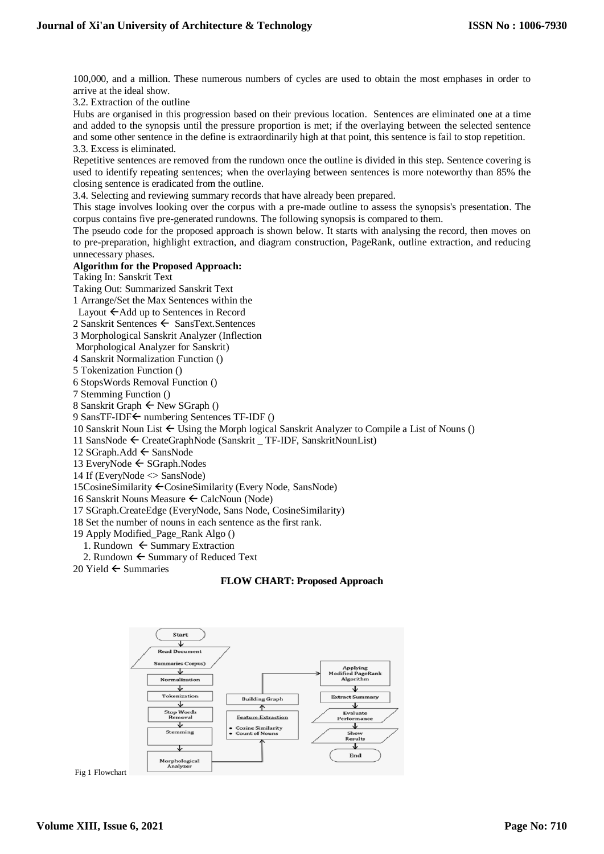100,000, and a million. These numerous numbers of cycles are used to obtain the most emphases in order to arrive at the ideal show.

3.2. Extraction of the outline

Hubs are organised in this progression based on their previous location. Sentences are eliminated one at a time and added to the synopsis until the pressure proportion is met; if the overlaying between the selected sentence and some other sentence in the define is extraordinarily high at that point, this sentence is fail to stop repetition. 3.3. Excess is eliminated.

Repetitive sentences are removed from the rundown once the outline is divided in this step. Sentence covering is used to identify repeating sentences; when the overlaying between sentences is more noteworthy than 85% the closing sentence is eradicated from the outline.

3.4. Selecting and reviewing summary records that have already been prepared.

This stage involves looking over the corpus with a pre-made outline to assess the synopsis's presentation. The corpus contains five pre-generated rundowns. The following synopsis is compared to them.

The pseudo code for the proposed approach is shown below. It starts with analysing the record, then moves on to pre-preparation, highlight extraction, and diagram construction, PageRank, outline extraction, and reducing unnecessary phases.

### **Algorithm for the Proposed Approach:**

Taking In: Sanskrit Text

Taking Out: Summarized Sanskrit Text

1 Arrange/Set the Max Sentences within the

Layout  $\leftarrow$  Add up to Sentences in Record

2 Sanskrit Sentences  $\leftarrow$  SansText.Sentences

3 Morphological Sanskrit Analyzer (Inflection

Morphological Analyzer for Sanskrit)

4 Sanskrit Normalization Function ()

5 Tokenization Function ()

6 StopsWords Removal Function ()

7 Stemming Function ()

8 Sanskrit Graph  $\leftarrow$  New SGraph ()

9 SansTF-IDF ← numbering Sentences TF-IDF ()

10 Sanskrit Noun List  $\leftarrow$  Using the Morph logical Sanskrit Analyzer to Compile a List of Nouns ()

11 SansNode  $\leftarrow$  CreateGraphNode (Sanskrit TF-IDF, SanskritNounList)

12 SGraph.Add  $\leftarrow$  SansNode

13 EveryNode  $\leftarrow$  SGraph.Nodes

14 If (EveryNode <> SansNode)

15CosineSimilarity CosineSimilarity (Every Node, SansNode)

16 Sanskrit Nouns Measure CalcNoun (Node)

17 SGraph.CreateEdge (EveryNode, Sans Node, CosineSimilarity)

18 Set the number of nouns in each sentence as the first rank.

19 Apply Modified\_Page\_Rank Algo ()

1. Rundown  $\leftarrow$  Summary Extraction

2. Rundown  $\leftarrow$  Summary of Reduced Text

20 Yield  $\leftarrow$  Summaries

### **FLOW CHART: Proposed Approach**

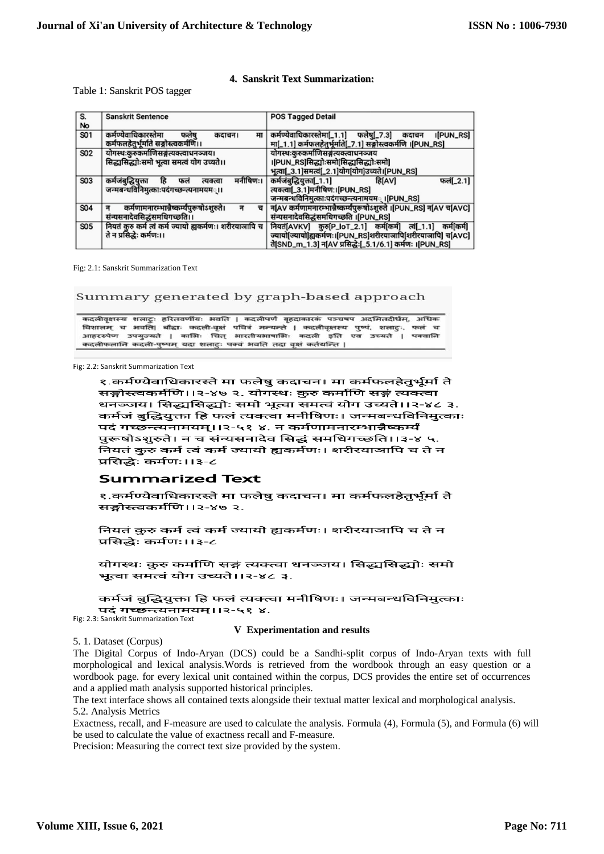#### **4. Sanskrit Text Summarization:**

### Table 1: Sanskrit POS tagger

| S.         | Sanskrit Sentence                                        | <b>POS Tagged Detail</b>                                           |  |  |  |
|------------|----------------------------------------------------------|--------------------------------------------------------------------|--|--|--|
|            |                                                          |                                                                    |  |  |  |
| No         |                                                          |                                                                    |  |  |  |
| S01        | कर्मण्येवाधिकारस्तेमा<br>मा<br>फलेष<br>कदाचन।            | कर्मण्येवाधिकारस्तेमा[_1.1] फलेषु[_7.3]<br>I[PUN_RS]<br>कदाचन      |  |  |  |
|            | कर्मफलहेतुर्भूर्माते सङ्गोस्त्वकर्मणि।।                  | मा[_1.1] कर्मफलहेतुर्भूमति[_7.1] सङ्गोस्त्वकर्मणि ।[PUN_RS]        |  |  |  |
| <b>S02</b> | योगस्थःकुरुकर्माणिसङ्गत्यक्त्वाधनञ्जय।                   | योगस्थःकुरुकर्माणिसङ्ग्रत्यक्त्वाधनञ्जय                            |  |  |  |
|            | सिद्ध्यसिद्ध्योःसमो भूत्वा समत्वं योग उच्यते।।           | ।[PUN_RS]सिद्धाोःसमो[सिद्धासिद्धाोःसमो]                            |  |  |  |
|            |                                                          | भूत्वा[_3.1]समत्वं[_2.1]योग[योग]उच्यते।[PUN_RS]                    |  |  |  |
|            |                                                          |                                                                    |  |  |  |
| S03        | मनीषिणः।<br>कर्मजंबद्धियक्ता<br>हि<br>फलं<br>त्यक्त्वा   | कर्मजबुद्धियुक्ता[1.1]<br>फलं[_2.1]<br>डिAिVी                      |  |  |  |
|            | जन्मबन्धविनिमुत्काःपदंगच्छन्त्यनामयम <b>्।।</b>          | त्यक्त्वा[_3.1]मनीषिण:।[PUN_RS]                                    |  |  |  |
|            |                                                          | जन्मबन्धविनिमुत्काःपदंगच्छन्त्यनामयम <b>् ।[PUN_RS]</b>            |  |  |  |
| S04        | कर्मणामनारम्भान्नेष्कर्म्यपुरूषोऽशुरुते।<br>ਜ਼           | न[AV कर्मणामनारम्भान्नेष्कर्म्यपुरूषोऽशुरुते ।[PUN_RS] न[AV च[AVC] |  |  |  |
|            | संन्यसनादेवसिद्धंसमधिगच्छति।।                            | संन्यसनादेवसिद्धंसमधिगच्छति ।[PUN_RS]                              |  |  |  |
| S05        | नियतं कुरु कर्म त्वं कर्म ज्यायो ह्यकर्मणः। शरीरयाजापि च | नियतं[AVKV] कुरु[P_IoT_2.1] कर्म[कर्म] त्वं[_1.1] कर्म[कर्म]       |  |  |  |
|            | ते न प्रसिद्धेः कर्मणः।।                                 | ज्यायोज्यायो ह्यकर्मणः।[PUN_RS]शरीरयाजापि[शरीरयाजापि] च[AVC]       |  |  |  |
|            |                                                          | ते[SND_m_1.3] न[AV प्रसिद्धेः[_5.1/6.1] कर्मणः ।[PUN_RS]           |  |  |  |
|            |                                                          |                                                                    |  |  |  |

Fig: 2.1: Sanskrit Summarization Text

#### Summary generated by graph-based approach

कदलीवृक्षस्य शलाट्ः हरितवर्णीयः भवति । कदलीपर्णं बृहदाकारकं पञ्चषप अदमितदीर्धम्, अधिक विशालम् च भवति| बौद्धाः कदली-वृक्षं पवित्रं मन्यन्ते | कदलीवृक्षस्य पुष्पं, शलाटुः, फलं च आहररुपेण उपयुज्यते | काभिः चित् भारतीयभाषाभिः कदली इति एव उच्यते | पक्वानि कदलीफलानि कदली-पुष्पम् यदा शलाटुः पक्वं अवति तदा वृक्षं कर्तयन्ति |

Fig: 2.2: Sanskrit Summarization Text

१.कर्मण्येवाधिकारस्ते मा फलेषु कदाचन। मा कर्मफलहेतुर्भूर्मा ते सङ्गोस्त्वकर्मणि।।२-४७ २. योगस्थः कुरु कर्माणि सङ्गं त्यक्त्वा धनञ्जय। सिद्ध्यसिद्ध्योः समो भूत्वा समत्वं योग उच्यते।।२-४८ ३. कर्मजं बुद्धियुक्ता हि फलं त्यक्त्वा मनीषिणः। जन्मबन्धविनिमुत्काः पदं गच्छन्त्यनामयम्।।२-५१ ४. न कर्मणामनारम्भान्नैष्कर्म्यं पुरूषोऽशुरुते। न च संन्यसनादेव सिद्धं समधिगच्छति।।३-४ ५. नियतं कुरु कर्म त्वं कर्म ज्यायो ह्यकर्मणः। शरीरयाञापि च ते न प्रसिद्धेः कर्मणः।।३-८

### **Summarized Text**

१.कर्मण्येवाधिकारस्ते मा फलेषु कदाचन। मा कर्मफलहेतुर्भूर्मा ते सङ्गोस्त्वकर्मणि।।२-४७ २.

नियतं कुरु कर्म त्वं कर्म ज्यायो ह्यकर्मणः। शरीरयाञापि च ते न प्रसिद्धेः कर्मणः।।३-८

योगस्थः कुरु कर्माणि सङ्गं त्यक्त्वा धनञ्जय। सिद्ध्यसिद्ध्योः समो भूत्वा समत्वं योग उच्यते।।२-४८ ३.

कर्मजं बुद्धियुक्ता हि फलं त्यक्त्वा मनीषिणः। जन्मबन्धविनिमुत्काः पदं गच्छन्त्यनामयम्।।२-५१ ४.

Fig: 2.3: Sanskrit Summarization Text

#### **V Experimentation and results**

5. 1. Dataset (Corpus)

The Digital Corpus of Indo-Aryan (DCS) could be a Sandhi-split corpus of Indo-Aryan texts with full morphological and lexical analysis.Words is retrieved from the wordbook through an easy question or a wordbook page. for every lexical unit contained within the corpus, DCS provides the entire set of occurrences and a applied math analysis supported historical principles.

The text interface shows all contained texts alongside their textual matter lexical and morphological analysis. 5.2. Analysis Metrics

Exactness, recall, and F-measure are used to calculate the analysis. Formula (4), Formula (5), and Formula (6) will be used to calculate the value of exactness recall and F-measure.

Precision: Measuring the correct text size provided by the system.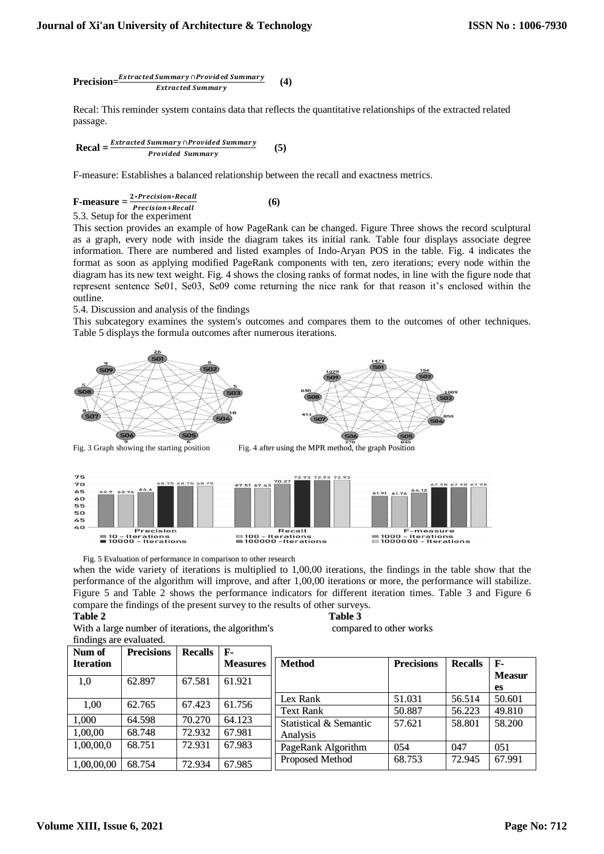$$
Precision = \frac{Extracted Summary \cap Provided Summary}{Extracted Summary} \qquad (4)
$$

Recal: This reminder system contains data that reflects the quantitative relationships of the extracted related passage.

$$
Recal = \frac{Extracted\ Summary\cap Provided\ Summary}{Provided\ Summary} \tag{5}
$$

F-measure: Establishes a balanced relationship between the recall and exactness metrics.

**F-measure** = 
$$
\frac{2*Precision*Recall}{Precision+Recall}
$$
 (6)  
5.3. Setup for the experiment

This section provides an example of how PageRank can be changed. Figure Three shows the record sculptural as a graph, every node with inside the diagram takes its initial rank. Table four displays associate degree information. There are numbered and listed examples of Indo-Aryan POS in the table. Fig. 4 indicates the format as soon as applying modified PageRank components with ten, zero iterations; every node within the diagram has its new text weight. Fig. 4 shows the closing ranks of format nodes, in line with the figure node that

represent sentence Se01, Se03, Se09 come returning the nice rank for that reason it's enclosed within the outline. 5.4. Discussion and analysis of the findings

This subcategory examines the system's outcomes and compares them to the outcomes of other techniques. Table 5 displays the formula outcomes after numerous iterations.





Fig. 5 Evaluation of performance in comparison to other research

when the wide variety of iterations is multiplied to 1,00,00 iterations, the findings in the table show that the performance of the algorithm will improve, and after 1,00,00 iterations or more, the performance will stabilize. Figure 5 and Table 2 shows the performance indicators for different iteration times. Table 3 and Figure 6 compare the findings of the present survey to the results of other surveys.

# **Table 2 Table 3**

With a large number of iterations, the algorithm's compared to other works findings are evaluated.

| Num of           | <b>Precisions</b> | <b>Recalls</b> | F-              |                        |                   |                |               |
|------------------|-------------------|----------------|-----------------|------------------------|-------------------|----------------|---------------|
| <b>Iteration</b> |                   |                | <b>Measures</b> | <b>Method</b>          | <b>Precisions</b> | <b>Recalls</b> | $F-$          |
|                  | 62.897            | 67.581         | 61.921          |                        |                   |                | <b>Measur</b> |
| 1,0              |                   |                |                 |                        |                   |                | es            |
|                  |                   |                |                 | Lex Rank               | 51.031            | 56.514         | 50.601        |
| 1,00             | 62.765            | 67.423         | 61.756          | <b>Text Rank</b>       | 50.887            | 56.223         | 49.810        |
| 1,000            | 64.598            | 70.270         | 64.123          | Statistical & Semantic | 57.621            | 58.801         | 58.200        |
| 1,00,00          | 68.748            | 72.932         | 67.981          | Analysis               |                   |                |               |
| 1,00,00,0        | 68.751            | 72.931         | 67.983          | PageRank Algorithm     | 054               | 047            | 051           |
| 1,00,00,00       | 68.754            | 72.934         | 67.985          | Proposed Method        | 68.753            | 72.945         | 67.991        |
|                  |                   |                |                 |                        |                   |                |               |